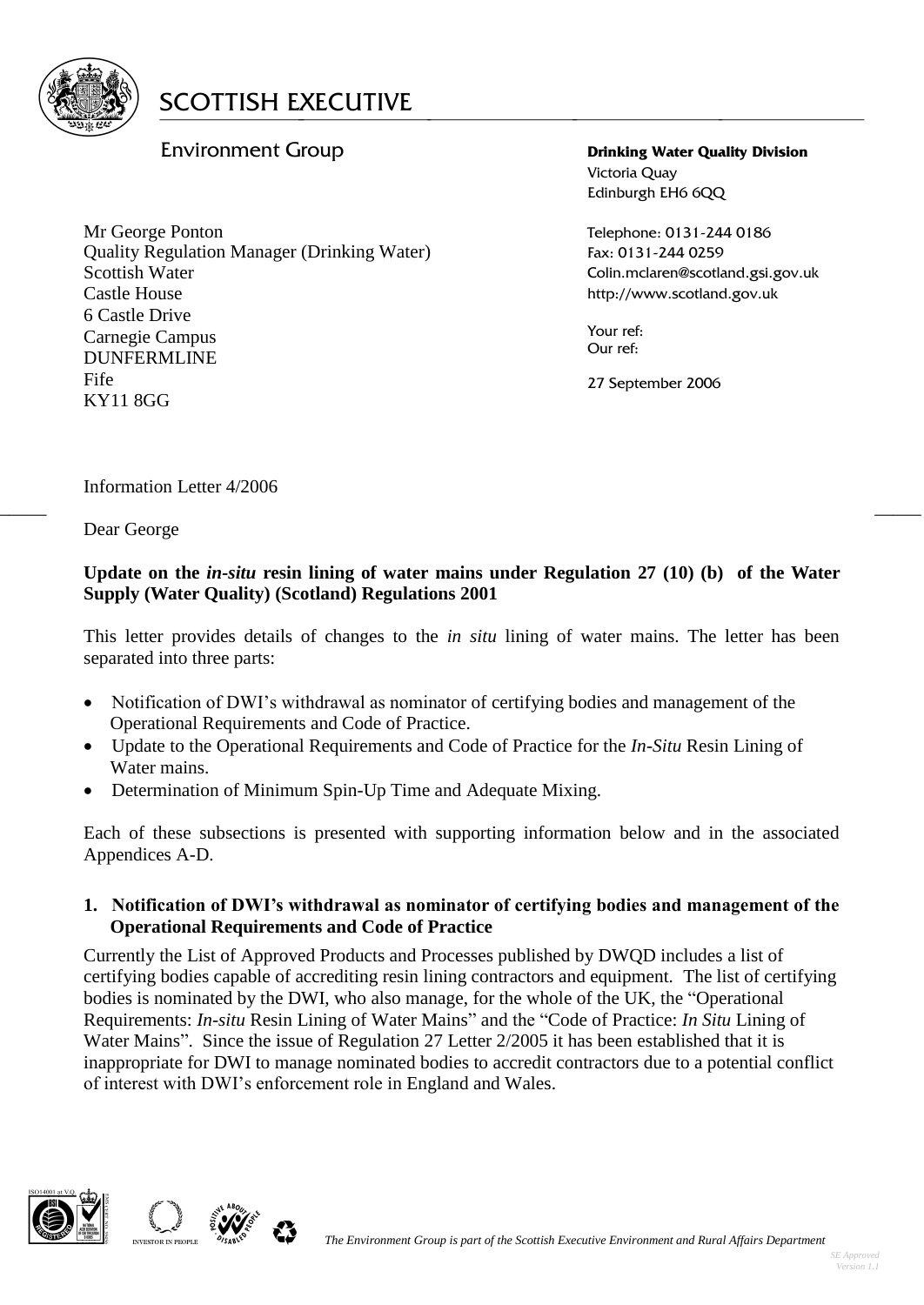

# Environment Group

Mr George Ponton Quality Regulation Manager (Drinking Water) Scottish Water Castle House 6 Castle Drive Carnegie Campus DUNFERMLINE Fife KY11 8GG

**Drinking Water Quality Division** Victoria Quay Edinburgh EH6 6QQ

Telephone: 0131-244 0186 Fax: 0131-244 0259 Colin.mclaren@scotland.gsi.gov.uk http://www.scotland.gov.uk

Your ref: Our ref:

27 September 2006

## Information Letter 4/2006

Dear George

### **Update on the** *in-situ* **resin lining of water mains under Regulation 27 (10) (b) of the Water Supply (Water Quality) (Scotland) Regulations 2001**

 $\frac{1}{2}$  , the contribution of the contribution of the contribution of the contribution of the contribution of the contribution of the contribution of the contribution of the contribution of the contribution of the contr

This letter provides details of changes to the *in situ* lining of water mains. The letter has been separated into three parts:

- Notification of DWI's withdrawal as nominator of certifying bodies and management of the Operational Requirements and Code of Practice.
- Update to the Operational Requirements and Code of Practice for the *In-Situ* Resin Lining of Water mains.
- Determination of Minimum Spin-Up Time and Adequate Mixing.

Each of these subsections is presented with supporting information below and in the associated Appendices A-D.

#### **1. Notification of DWI's withdrawal as nominator of certifying bodies and management of the Operational Requirements and Code of Practice**

Currently the List of Approved Products and Processes published by DWQD includes a list of certifying bodies capable of accrediting resin lining contractors and equipment. The list of certifying bodies is nominated by the DWI, who also manage, for the whole of the UK, the "Operational Requirements: *In-situ* Resin Lining of Water Mains" and the "Code of Practice: *In Situ* Lining of Water Mains". Since the issue of Regulation 27 Letter 2/2005 it has been established that it is inappropriate for DWI to manage nominated bodies to accredit contractors due to a potential conflict of interest with DWI's enforcement role in England and Wales.



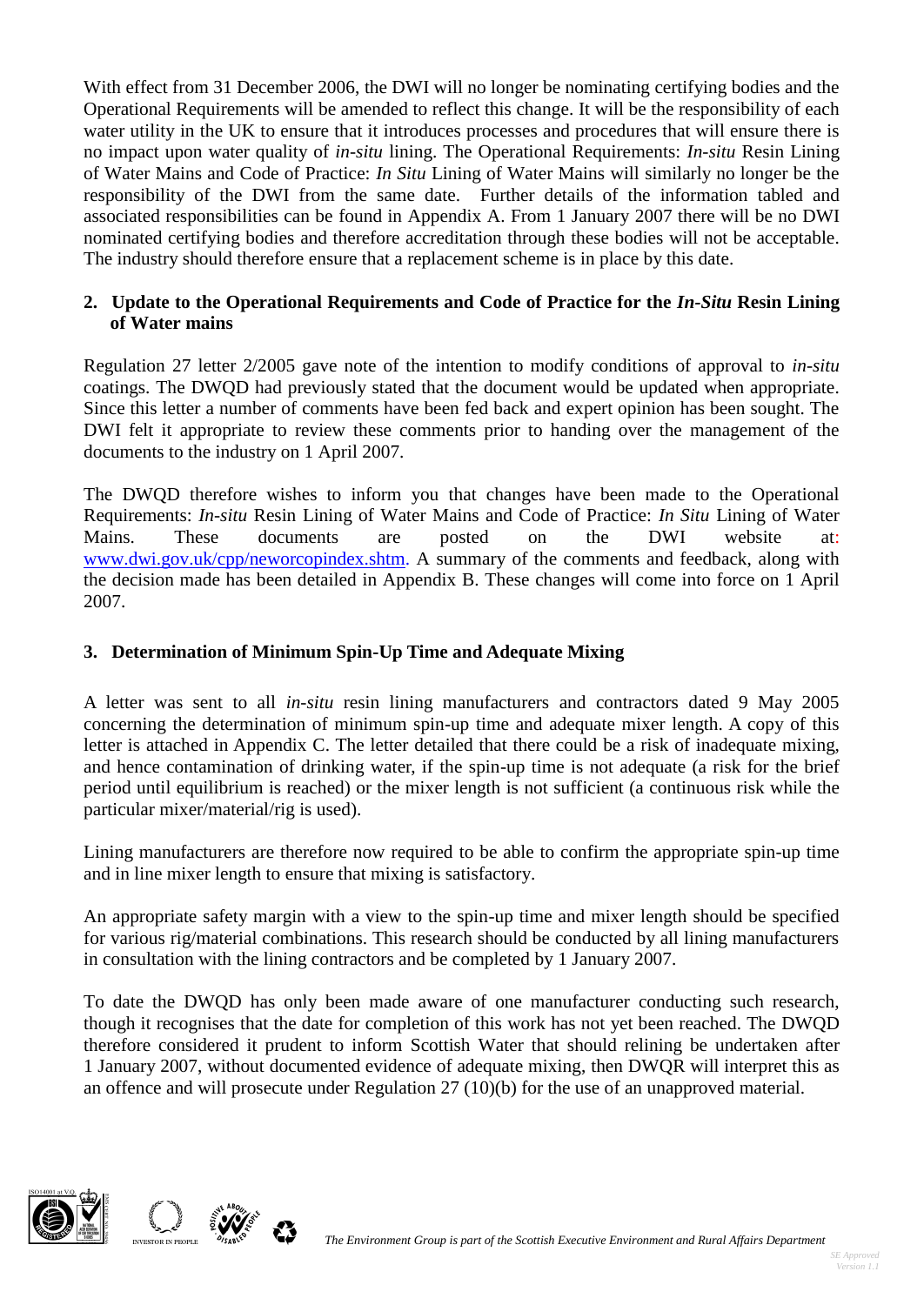With effect from 31 December 2006, the DWI will no longer be nominating certifying bodies and the Operational Requirements will be amended to reflect this change. It will be the responsibility of each water utility in the UK to ensure that it introduces processes and procedures that will ensure there is no impact upon water quality of *in-situ* lining. The Operational Requirements: *In-situ* Resin Lining of Water Mains and Code of Practice: *In Situ* Lining of Water Mains will similarly no longer be the responsibility of the DWI from the same date. Further details of the information tabled and associated responsibilities can be found in Appendix A. From 1 January 2007 there will be no DWI nominated certifying bodies and therefore accreditation through these bodies will not be acceptable. The industry should therefore ensure that a replacement scheme is in place by this date.

## **2. Update to the Operational Requirements and Code of Practice for the** *In-Situ* **Resin Lining of Water mains**

Regulation 27 letter 2/2005 gave note of the intention to modify conditions of approval to *in-situ* coatings. The DWQD had previously stated that the document would be updated when appropriate. Since this letter a number of comments have been fed back and expert opinion has been sought. The DWI felt it appropriate to review these comments prior to handing over the management of the documents to the industry on 1 April 2007.

The DWQD therefore wishes to inform you that changes have been made to the Operational Requirements: *In-situ* Resin Lining of Water Mains and Code of Practice: *In Situ* Lining of Water Mains. These documents are posted on the DWI website at: [www.dwi.gov.uk/cpp/neworcopindex.shtm.](http://www.dwi.gov.uk/cpp/neworcopindex.shtm) A summary of the comments and feedback, along with the decision made has been detailed in Appendix B. These changes will come into force on 1 April 2007.

# **3. Determination of Minimum Spin-Up Time and Adequate Mixing**

A letter was sent to all *in-situ* resin lining manufacturers and contractors dated 9 May 2005 concerning the determination of minimum spin-up time and adequate mixer length. A copy of this letter is attached in Appendix C. The letter detailed that there could be a risk of inadequate mixing, and hence contamination of drinking water, if the spin-up time is not adequate (a risk for the brief period until equilibrium is reached) or the mixer length is not sufficient (a continuous risk while the particular mixer/material/rig is used).

Lining manufacturers are therefore now required to be able to confirm the appropriate spin-up time and in line mixer length to ensure that mixing is satisfactory.

An appropriate safety margin with a view to the spin-up time and mixer length should be specified for various rig/material combinations. This research should be conducted by all lining manufacturers in consultation with the lining contractors and be completed by 1 January 2007.

To date the DWQD has only been made aware of one manufacturer conducting such research, though it recognises that the date for completion of this work has not yet been reached. The DWQD therefore considered it prudent to inform Scottish Water that should relining be undertaken after 1 January 2007, without documented evidence of adequate mixing, then DWQR will interpret this as an offence and will prosecute under Regulation 27 (10)(b) for the use of an unapproved material.